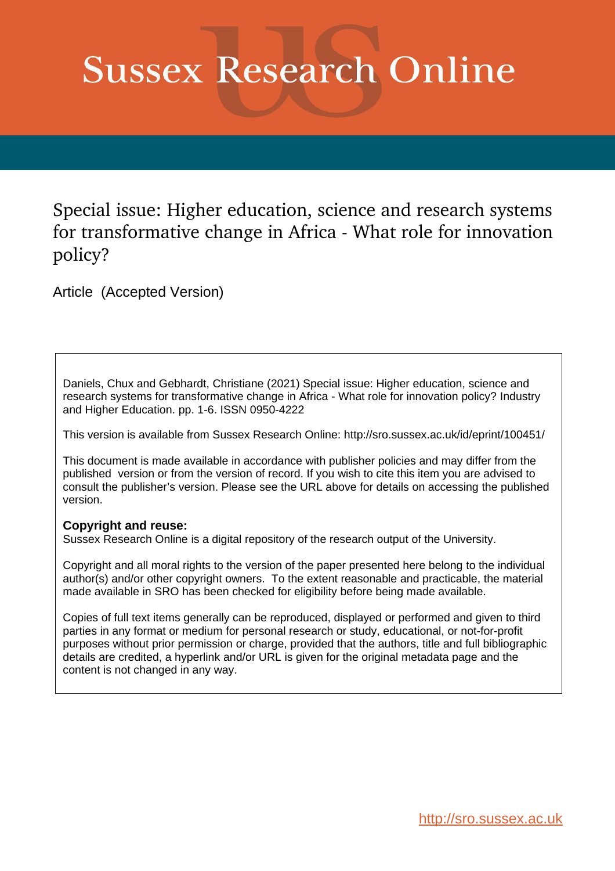# **Sussex Research Online**

Special issue: Higher education, science and research systems for transformative change in Africa - What role for innovation policy?

Article (Accepted Version)

Daniels, Chux and Gebhardt, Christiane (2021) Special issue: Higher education, science and research systems for transformative change in Africa - What role for innovation policy? Industry and Higher Education. pp. 1-6. ISSN 0950-4222

This version is available from Sussex Research Online: http://sro.sussex.ac.uk/id/eprint/100451/

This document is made available in accordance with publisher policies and may differ from the published version or from the version of record. If you wish to cite this item you are advised to consult the publisher's version. Please see the URL above for details on accessing the published version.

#### **Copyright and reuse:**

Sussex Research Online is a digital repository of the research output of the University.

Copyright and all moral rights to the version of the paper presented here belong to the individual author(s) and/or other copyright owners. To the extent reasonable and practicable, the material made available in SRO has been checked for eligibility before being made available.

Copies of full text items generally can be reproduced, displayed or performed and given to third parties in any format or medium for personal research or study, educational, or not-for-profit purposes without prior permission or charge, provided that the authors, title and full bibliographic details are credited, a hyperlink and/or URL is given for the original metadata page and the content is not changed in any way.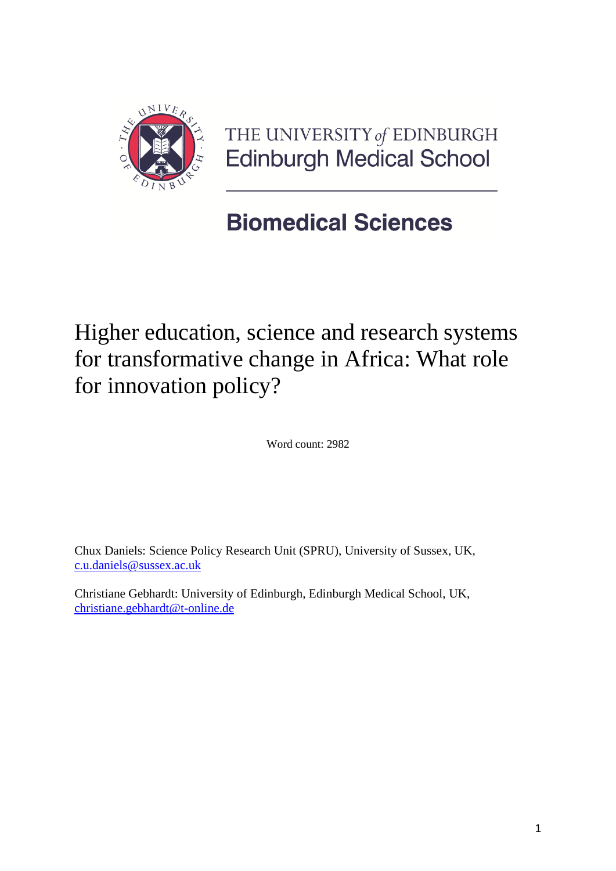

THE UNIVERSITY of EDINBURGH **Edinburgh Medical School** 

## **Biomedical Sciences**

Higher education, science and research systems for transformative change in Africa: What role for innovation policy?

Word count: 2982

Chux Daniels: Science Policy Research Unit (SPRU), University of Sussex, UK, [c.u.daniels@sussex.ac.uk](mailto:c.u.daniels@sussex.ac.uk)

Christiane Gebhardt: University of Edinburgh, Edinburgh Medical School, UK, [christiane.gebhardt@t-online.de](mailto:christiane.gebhardt@t-online.de)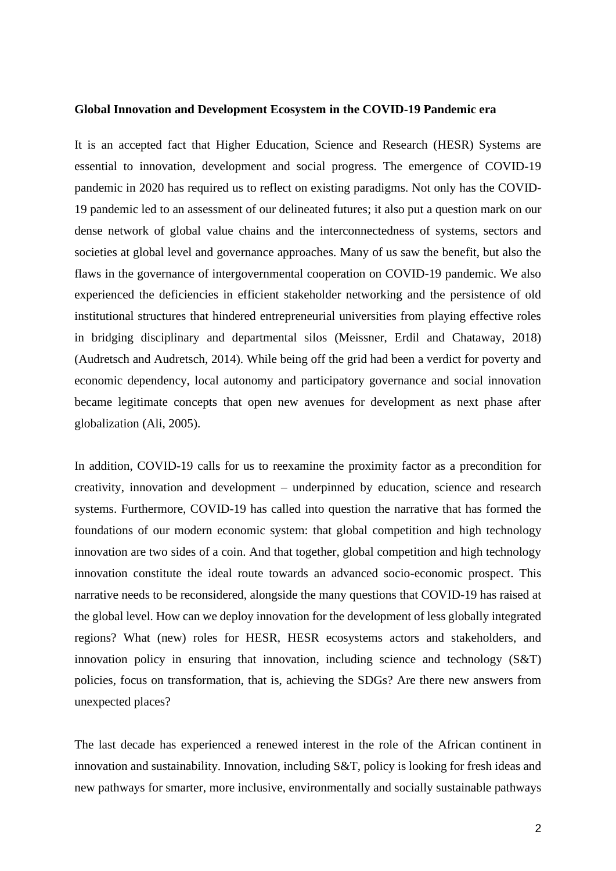#### **Global Innovation and Development Ecosystem in the COVID-19 Pandemic era**

It is an accepted fact that Higher Education, Science and Research (HESR) Systems are essential to innovation, development and social progress. The emergence of COVID-19 pandemic in 2020 has required us to reflect on existing paradigms. Not only has the COVID-19 pandemic led to an assessment of our delineated futures; it also put a question mark on our dense network of global value chains and the interconnectedness of systems, sectors and societies at global level and governance approaches. Many of us saw the benefit, but also the flaws in the governance of intergovernmental cooperation on COVID-19 pandemic. We also experienced the deficiencies in efficient stakeholder networking and the persistence of old institutional structures that hindered entrepreneurial universities from playing effective roles in bridging disciplinary and departmental silos (Meissner, Erdil and Chataway, 2018) (Audretsch and Audretsch, 2014). While being off the grid had been a verdict for poverty and economic dependency, local autonomy and participatory governance and social innovation became legitimate concepts that open new avenues for development as next phase after globalization (Ali, 2005).

In addition, COVID-19 calls for us to reexamine the proximity factor as a precondition for creativity, innovation and development – underpinned by education, science and research systems. Furthermore, COVID-19 has called into question the narrative that has formed the foundations of our modern economic system: that global competition and high technology innovation are two sides of a coin. And that together, global competition and high technology innovation constitute the ideal route towards an advanced socio-economic prospect. This narrative needs to be reconsidered, alongside the many questions that COVID-19 has raised at the global level. How can we deploy innovation for the development of less globally integrated regions? What (new) roles for HESR, HESR ecosystems actors and stakeholders, and innovation policy in ensuring that innovation, including science and technology (S&T) policies, focus on transformation, that is, achieving the SDGs? Are there new answers from unexpected places?

The last decade has experienced a renewed interest in the role of the African continent in innovation and sustainability. Innovation, including S&T, policy is looking for fresh ideas and new pathways for smarter, more inclusive, environmentally and socially sustainable pathways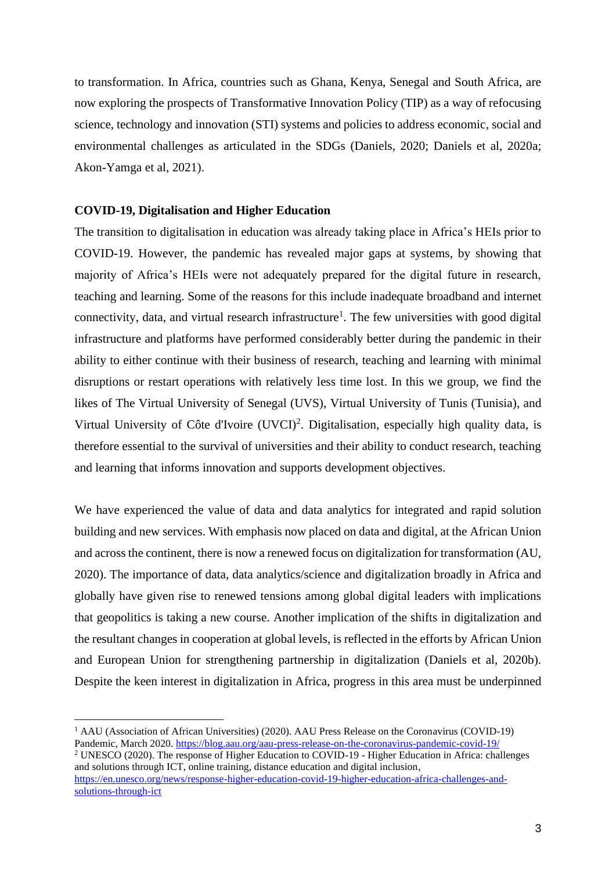to transformation. In Africa, countries such as Ghana, Kenya, Senegal and South Africa, are now exploring the prospects of Transformative Innovation Policy (TIP) as a way of refocusing science, technology and innovation (STI) systems and policies to address economic, social and environmental challenges as articulated in the SDGs (Daniels, 2020; Daniels et al, 2020a; Akon-Yamga et al, 2021).

#### **COVID-19, Digitalisation and Higher Education**

The transition to digitalisation in education was already taking place in Africa's HEIs prior to COVID-19. However, the pandemic has revealed major gaps at systems, by showing that majority of Africa's HEIs were not adequately prepared for the digital future in research, teaching and learning. Some of the reasons for this include inadequate broadband and internet connectivity, data, and virtual research infrastructure<sup>1</sup>. The few universities with good digital infrastructure and platforms have performed considerably better during the pandemic in their ability to either continue with their business of research, teaching and learning with minimal disruptions or restart operations with relatively less time lost. In this we group, we find the likes of The Virtual University of Senegal (UVS), Virtual University of Tunis (Tunisia), and Virtual University of Côte d'Ivoire  $(UVCI)^2$ . Digitalisation, especially high quality data, is therefore essential to the survival of universities and their ability to conduct research, teaching and learning that informs innovation and supports development objectives.

We have experienced the value of data and data analytics for integrated and rapid solution building and new services. With emphasis now placed on data and digital, at the African Union and across the continent, there is now a renewed focus on digitalization for transformation (AU, 2020). The importance of data, data analytics/science and digitalization broadly in Africa and globally have given rise to renewed tensions among global digital leaders with implications that geopolitics is taking a new course. Another implication of the shifts in digitalization and the resultant changes in cooperation at global levels, is reflected in the efforts by African Union and European Union for strengthening partnership in digitalization (Daniels et al, 2020b). Despite the keen interest in digitalization in Africa, progress in this area must be underpinned

<sup>&</sup>lt;sup>1</sup> AAU (Association of African Universities) (2020). AAU Press Release on the Coronavirus (COVID-19) Pandemic, March 2020.<https://blog.aau.org/aau-press-release-on-the-coronavirus-pandemic-covid-19/>

<sup>2</sup> UNESCO (2020). The response of Higher Education to COVID-19 - Higher Education in Africa: challenges and solutions through ICT, online training, distance education and digital inclusion, [https://en.unesco.org/news/response-higher-education-covid-19-higher-education-africa-challenges-and](https://en.unesco.org/news/response-higher-education-covid-19-higher-education-africa-challenges-and-solutions-through-ict)[solutions-through-ict](https://en.unesco.org/news/response-higher-education-covid-19-higher-education-africa-challenges-and-solutions-through-ict)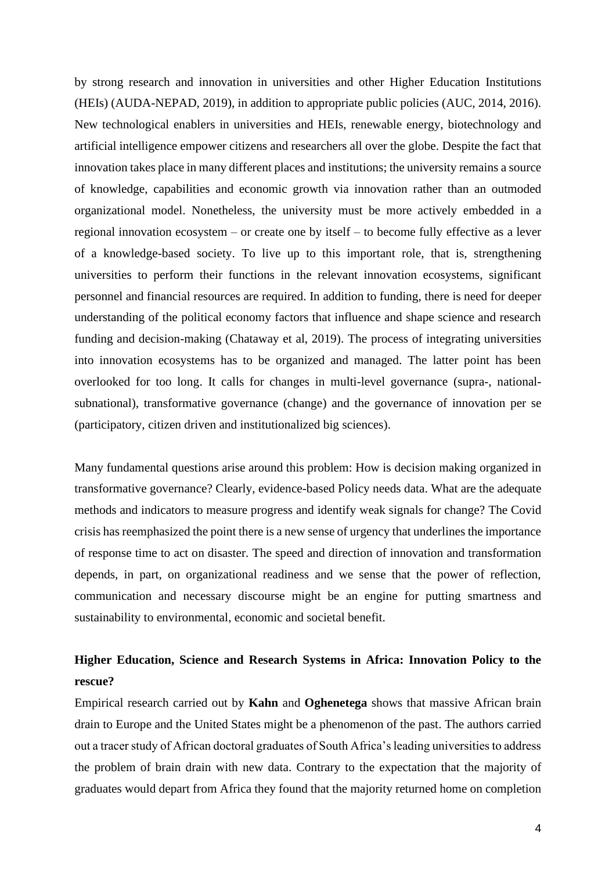by strong research and innovation in universities and other Higher Education Institutions (HEIs) (AUDA-NEPAD, 2019), in addition to appropriate public policies (AUC, 2014, 2016). New technological enablers in universities and HEIs, renewable energy, biotechnology and artificial intelligence empower citizens and researchers all over the globe. Despite the fact that innovation takes place in many different places and institutions; the university remains a source of knowledge, capabilities and economic growth via innovation rather than an outmoded organizational model. Nonetheless, the university must be more actively embedded in a regional innovation ecosystem – or create one by itself – to become fully effective as a lever of a knowledge-based society. To live up to this important role, that is, strengthening universities to perform their functions in the relevant innovation ecosystems, significant personnel and financial resources are required. In addition to funding, there is need for deeper understanding of the political economy factors that influence and shape science and research funding and decision-making (Chataway et al, 2019). The process of integrating universities into innovation ecosystems has to be organized and managed. The latter point has been overlooked for too long. It calls for changes in multi-level governance (supra-, nationalsubnational), transformative governance (change) and the governance of innovation per se (participatory, citizen driven and institutionalized big sciences).

Many fundamental questions arise around this problem: How is decision making organized in transformative governance? Clearly, evidence-based Policy needs data. What are the adequate methods and indicators to measure progress and identify weak signals for change? The Covid crisis has reemphasized the point there is a new sense of urgency that underlines the importance of response time to act on disaster. The speed and direction of innovation and transformation depends, in part, on organizational readiness and we sense that the power of reflection, communication and necessary discourse might be an engine for putting smartness and sustainability to environmental, economic and societal benefit.

### **Higher Education, Science and Research Systems in Africa: Innovation Policy to the rescue?**

Empirical research carried out by **Kahn** and **Oghenetega** shows that massive African brain drain to Europe and the United States might be a phenomenon of the past. The authors carried out a tracer study of African doctoral graduates of South Africa's leading universities to address the problem of brain drain with new data. Contrary to the expectation that the majority of graduates would depart from Africa they found that the majority returned home on completion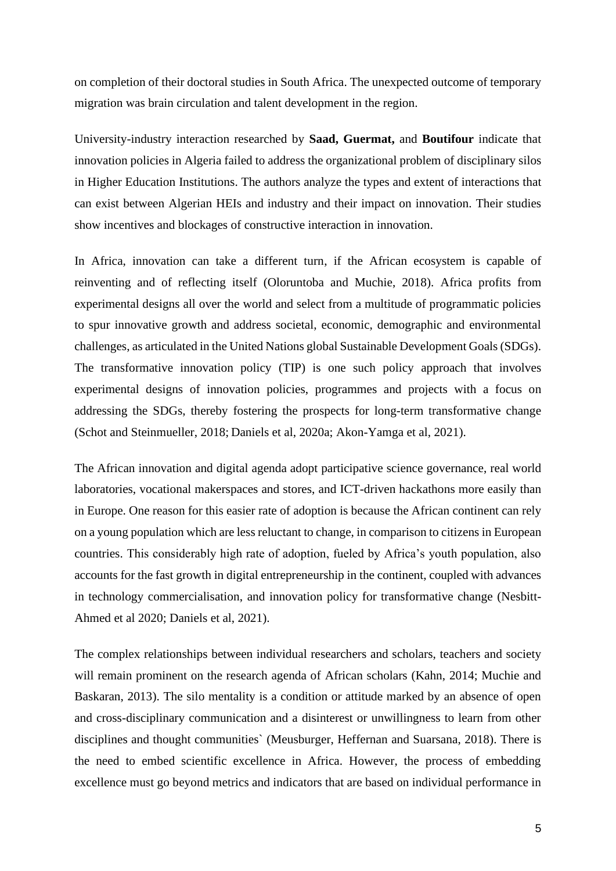on completion of their doctoral studies in South Africa. The unexpected outcome of temporary migration was brain circulation and talent development in the region.

University-industry interaction researched by **Saad, Guermat,** and **Boutifour** indicate that innovation policies in Algeria failed to address the organizational problem of disciplinary silos in Higher Education Institutions. The authors analyze the types and extent of interactions that can exist between Algerian HEIs and industry and their impact on innovation. Their studies show incentives and blockages of constructive interaction in innovation.

In Africa, innovation can take a different turn, if the African ecosystem is capable of reinventing and of reflecting itself (Oloruntoba and Muchie, 2018). Africa profits from experimental designs all over the world and select from a multitude of programmatic policies to spur innovative growth and address societal, economic, demographic and environmental challenges, as articulated in the United Nations global Sustainable Development Goals (SDGs). The transformative innovation policy (TIP) is one such policy approach that involves experimental designs of innovation policies, programmes and projects with a focus on addressing the SDGs, thereby fostering the prospects for long-term transformative change (Schot and Steinmueller, 2018; Daniels et al, 2020a; Akon-Yamga et al, 2021).

The African innovation and digital agenda adopt participative science governance, real world laboratories, vocational makerspaces and stores, and ICT-driven hackathons more easily than in Europe. One reason for this easier rate of adoption is because the African continent can rely on a young population which are less reluctant to change, in comparison to citizens in European countries. This considerably high rate of adoption, fueled by Africa's youth population, also accounts for the fast growth in digital entrepreneurship in the continent, coupled with advances in technology commercialisation, and innovation policy for transformative change (Nesbitt-Ahmed et al 2020; Daniels et al, 2021).

The complex relationships between individual researchers and scholars, teachers and society will remain prominent on the research agenda of African scholars (Kahn, 2014; Muchie and Baskaran, 2013). The silo mentality is a condition or attitude marked by an absence of open and cross-disciplinary communication and a disinterest or unwillingness to learn from other disciplines and thought communities` (Meusburger, Heffernan and Suarsana, 2018). There is the need to embed scientific excellence in Africa. However, the process of embedding excellence must go beyond metrics and indicators that are based on individual performance in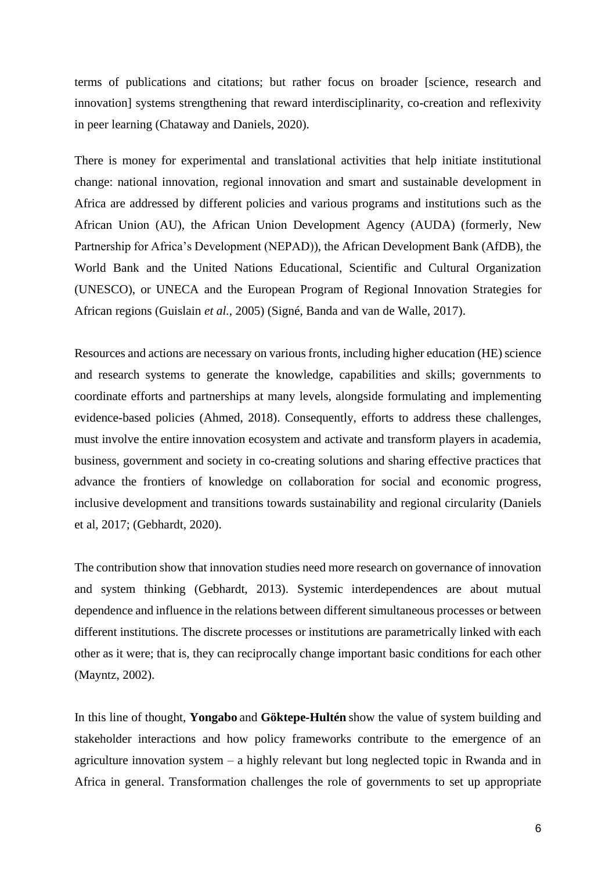terms of publications and citations; but rather focus on broader [science, research and innovation] systems strengthening that reward interdisciplinarity, co-creation and reflexivity in peer learning (Chataway and Daniels, 2020).

There is money for experimental and translational activities that help initiate institutional change: national innovation, regional innovation and smart and sustainable development in Africa are addressed by different policies and various programs and institutions such as the African Union (AU), the African Union Development Agency (AUDA) (formerly, New Partnership for Africa's Development (NEPAD)), the African Development Bank (AfDB), the World Bank and the United Nations Educational, Scientific and Cultural Organization (UNESCO), or UNECA and the European Program of Regional Innovation Strategies for African regions (Guislain *et al.*, 2005) (Signé, Banda and van de Walle, 2017).

Resources and actions are necessary on various fronts, including higher education (HE) science and research systems to generate the knowledge, capabilities and skills; governments to coordinate efforts and partnerships at many levels, alongside formulating and implementing evidence-based policies (Ahmed, 2018). Consequently, efforts to address these challenges, must involve the entire innovation ecosystem and activate and transform players in academia, business, government and society in co-creating solutions and sharing effective practices that advance the frontiers of knowledge on collaboration for social and economic progress, inclusive development and transitions towards sustainability and regional circularity (Daniels et al, 2017; (Gebhardt, 2020).

The contribution show that innovation studies need more research on governance of innovation and system thinking (Gebhardt, 2013). Systemic interdependences are about mutual dependence and influence in the relations between different simultaneous processes or between different institutions. The discrete processes or institutions are parametrically linked with each other as it were; that is, they can reciprocally change important basic conditions for each other (Mayntz, 2002).

In this line of thought, **Yongabo** and **Göktepe-Hultén** show the value of system building and stakeholder interactions and how policy frameworks contribute to the emergence of an agriculture innovation system – a highly relevant but long neglected topic in Rwanda and in Africa in general. Transformation challenges the role of governments to set up appropriate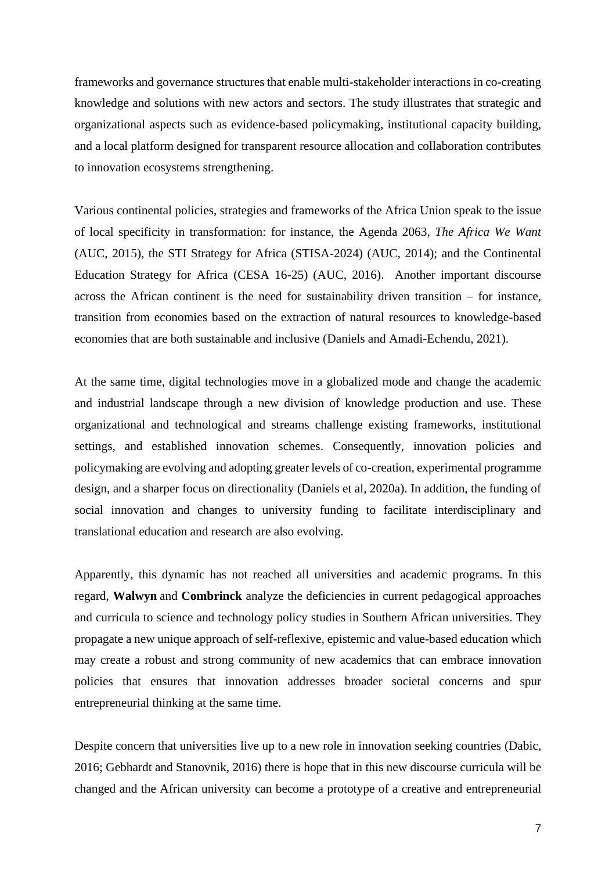frameworks and governance structures that enable multi-stakeholder interactions in co-creating knowledge and solutions with new actors and sectors. The study illustrates that strategic and organizational aspects such as evidence-based policymaking, institutional capacity building, and a local platform designed for transparent resource allocation and collaboration contributes to innovation ecosystems strengthening.

Various continental policies, strategies and frameworks of the Africa Union speak to the issue of local specificity in transformation: for instance, the Agenda 2063, *The Africa We Want* (AUC, 2015), the STI Strategy for Africa (STISA-2024) (AUC, 2014); and the Continental Education Strategy for Africa (CESA 16-25) (AUC, 2016). Another important discourse across the African continent is the need for sustainability driven transition – for instance, transition from economies based on the extraction of natural resources to knowledge-based economies that are both sustainable and inclusive (Daniels and Amadi-Echendu, 2021).

At the same time, digital technologies move in a globalized mode and change the academic and industrial landscape through a new division of knowledge production and use. These organizational and technological and streams challenge existing frameworks, institutional settings, and established innovation schemes. Consequently, innovation policies and policymaking are evolving and adopting greater levels of co-creation, experimental programme design, and a sharper focus on directionality (Daniels et al, 2020a). In addition, the funding of social innovation and changes to university funding to facilitate interdisciplinary and translational education and research are also evolving.

Apparently, this dynamic has not reached all universities and academic programs. In this regard, **Walwyn** and **Combrinck** analyze the deficiencies in current pedagogical approaches and curricula to science and technology policy studies in Southern African universities. They propagate a new unique approach of self-reflexive, epistemic and value-based education which may create a robust and strong community of new academics that can embrace innovation policies that ensures that innovation addresses broader societal concerns and spur entrepreneurial thinking at the same time.

Despite concern that universities live up to a new role in innovation seeking countries (Dabic, 2016; Gebhardt and Stanovnik, 2016) there is hope that in this new discourse curricula will be changed and the African university can become a prototype of a creative and entrepreneurial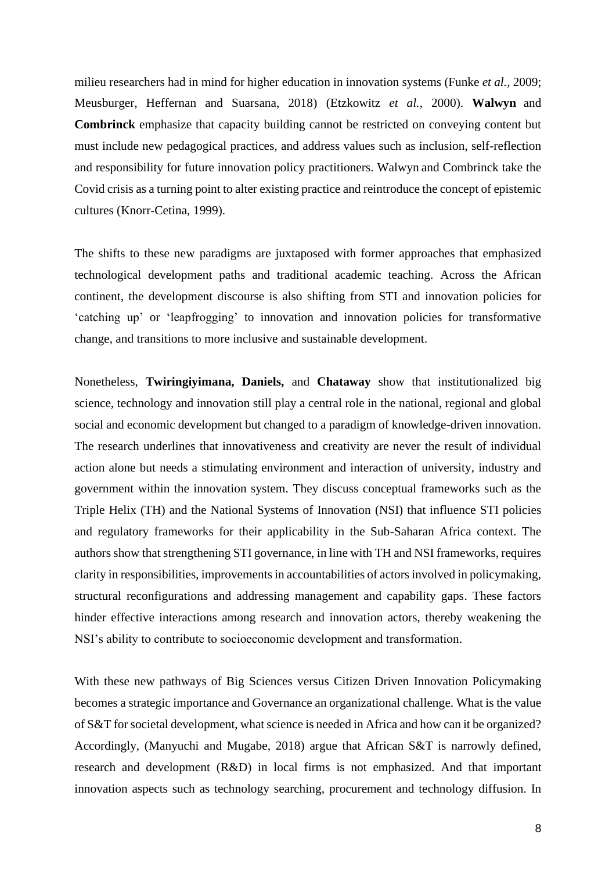milieu researchers had in mind for higher education in innovation systems (Funke *et al.*, 2009; Meusburger, Heffernan and Suarsana, 2018) (Etzkowitz *et al.*, 2000). **Walwyn** and **Combrinck** emphasize that capacity building cannot be restricted on conveying content but must include new pedagogical practices, and address values such as inclusion, self-reflection and responsibility for future innovation policy practitioners. Walwyn and Combrinck take the Covid crisis as a turning point to alter existing practice and reintroduce the concept of epistemic cultures (Knorr-Cetina, 1999).

The shifts to these new paradigms are juxtaposed with former approaches that emphasized technological development paths and traditional academic teaching. Across the African continent, the development discourse is also shifting from STI and innovation policies for 'catching up' or 'leapfrogging' to innovation and innovation policies for transformative change, and transitions to more inclusive and sustainable development.

Nonetheless, **Twiringiyimana, Daniels,** and **Chataway** show that institutionalized big science, technology and innovation still play a central role in the national, regional and global social and economic development but changed to a paradigm of knowledge-driven innovation. The research underlines that innovativeness and creativity are never the result of individual action alone but needs a stimulating environment and interaction of university, industry and government within the innovation system. They discuss conceptual frameworks such as the Triple Helix (TH) and the National Systems of Innovation (NSI) that influence STI policies and regulatory frameworks for their applicability in the Sub-Saharan Africa context. The authors show that strengthening STI governance, in line with TH and NSI frameworks, requires clarity in responsibilities, improvements in accountabilities of actors involved in policymaking, structural reconfigurations and addressing management and capability gaps. These factors hinder effective interactions among research and innovation actors, thereby weakening the NSI's ability to contribute to socioeconomic development and transformation.

With these new pathways of Big Sciences versus Citizen Driven Innovation Policymaking becomes a strategic importance and Governance an organizational challenge. What is the value of S&T for societal development, what science is needed in Africa and how can it be organized? Accordingly, (Manyuchi and Mugabe, 2018) argue that African S&T is narrowly defined, research and development (R&D) in local firms is not emphasized. And that important innovation aspects such as technology searching, procurement and technology diffusion. In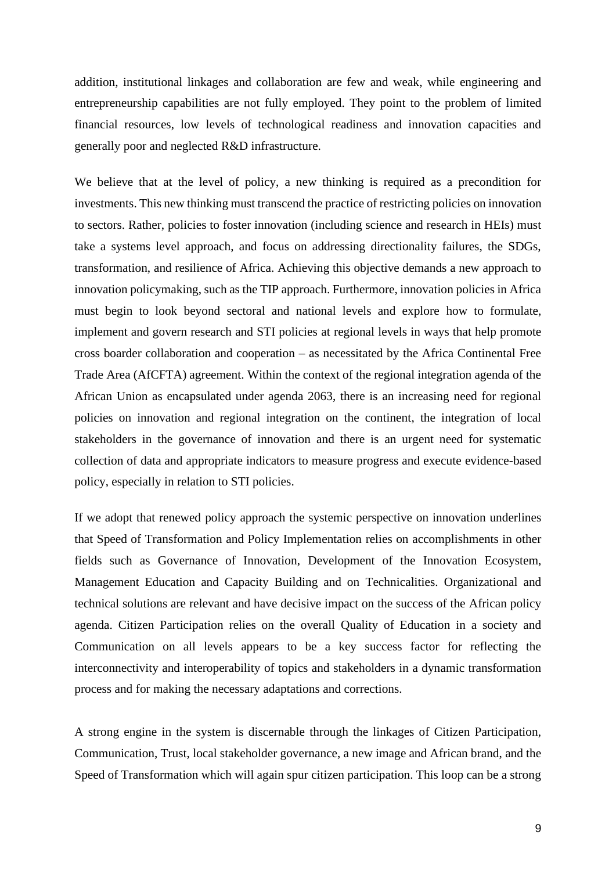addition, institutional linkages and collaboration are few and weak, while engineering and entrepreneurship capabilities are not fully employed. They point to the problem of limited financial resources, low levels of technological readiness and innovation capacities and generally poor and neglected R&D infrastructure.

We believe that at the level of policy, a new thinking is required as a precondition for investments. This new thinking must transcend the practice of restricting policies on innovation to sectors. Rather, policies to foster innovation (including science and research in HEIs) must take a systems level approach, and focus on addressing directionality failures, the SDGs, transformation, and resilience of Africa. Achieving this objective demands a new approach to innovation policymaking, such as the TIP approach. Furthermore, innovation policies in Africa must begin to look beyond sectoral and national levels and explore how to formulate, implement and govern research and STI policies at regional levels in ways that help promote cross boarder collaboration and cooperation – as necessitated by the Africa Continental Free Trade Area (AfCFTA) agreement. Within the context of the regional integration agenda of the African Union as encapsulated under agenda 2063, there is an increasing need for regional policies on innovation and regional integration on the continent, the integration of local stakeholders in the governance of innovation and there is an urgent need for systematic collection of data and appropriate indicators to measure progress and execute evidence-based policy, especially in relation to STI policies.

If we adopt that renewed policy approach the systemic perspective on innovation underlines that Speed of Transformation and Policy Implementation relies on accomplishments in other fields such as Governance of Innovation, Development of the Innovation Ecosystem, Management Education and Capacity Building and on Technicalities. Organizational and technical solutions are relevant and have decisive impact on the success of the African policy agenda. Citizen Participation relies on the overall Quality of Education in a society and Communication on all levels appears to be a key success factor for reflecting the interconnectivity and interoperability of topics and stakeholders in a dynamic transformation process and for making the necessary adaptations and corrections.

A strong engine in the system is discernable through the linkages of Citizen Participation, Communication, Trust, local stakeholder governance, a new image and African brand, and the Speed of Transformation which will again spur citizen participation. This loop can be a strong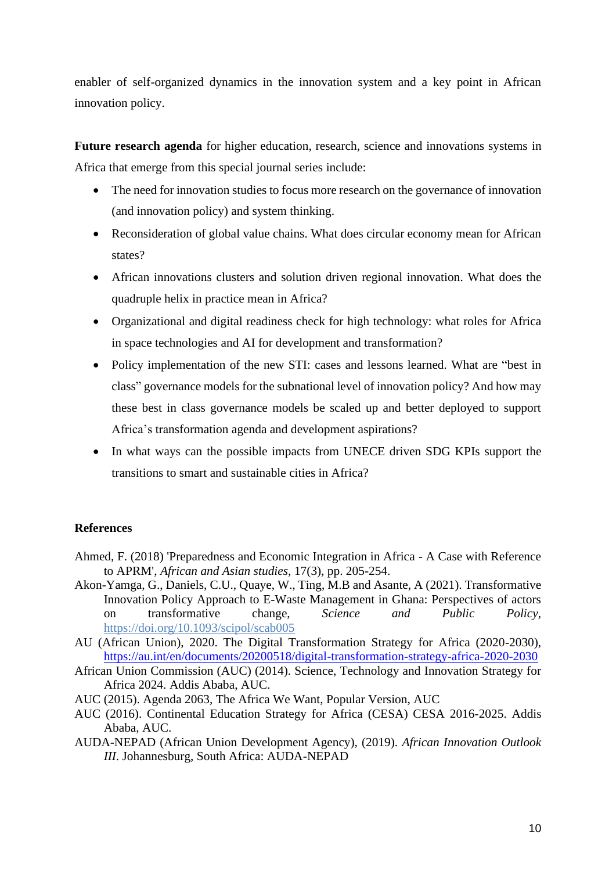enabler of self-organized dynamics in the innovation system and a key point in African innovation policy.

**Future research agenda** for higher education, research, science and innovations systems in Africa that emerge from this special journal series include:

- The need for innovation studies to focus more research on the governance of innovation (and innovation policy) and system thinking.
- Reconsideration of global value chains. What does circular economy mean for African states?
- African innovations clusters and solution driven regional innovation. What does the quadruple helix in practice mean in Africa?
- Organizational and digital readiness check for high technology: what roles for Africa in space technologies and AI for development and transformation?
- Policy implementation of the new STI: cases and lessons learned. What are "best in class" governance models for the subnational level of innovation policy? And how may these best in class governance models be scaled up and better deployed to support Africa's transformation agenda and development aspirations?
- In what ways can the possible impacts from UNECE driven SDG KPIs support the transitions to smart and sustainable cities in Africa?

#### **References**

- Ahmed, F. (2018) 'Preparedness and Economic Integration in Africa A Case with Reference to APRM', *African and Asian studies,* 17(3), pp. 205-254.
- Akon-Yamga, G., Daniels, C.U., Quaye, W., Ting, M.B and Asante, A (2021). Transformative Innovation Policy Approach to E-Waste Management in Ghana: Perspectives of actors on transformative change, *Science and Public Policy,*  <https://doi.org/10.1093/scipol/scab005>
- AU (African Union), 2020. The Digital Transformation Strategy for Africa (2020-2030), <https://au.int/en/documents/20200518/digital-transformation-strategy-africa-2020-2030>
- African Union Commission (AUC) (2014). Science, Technology and Innovation Strategy for Africa 2024. Addis Ababa, AUC.
- AUC (2015). Agenda 2063, The Africa We Want, Popular Version, AUC
- AUC (2016). Continental Education Strategy for Africa (CESA) CESA 2016-2025. Addis Ababa, AUC.
- AUDA-NEPAD (African Union Development Agency), (2019). *African Innovation Outlook III*. Johannesburg, South Africa: AUDA-NEPAD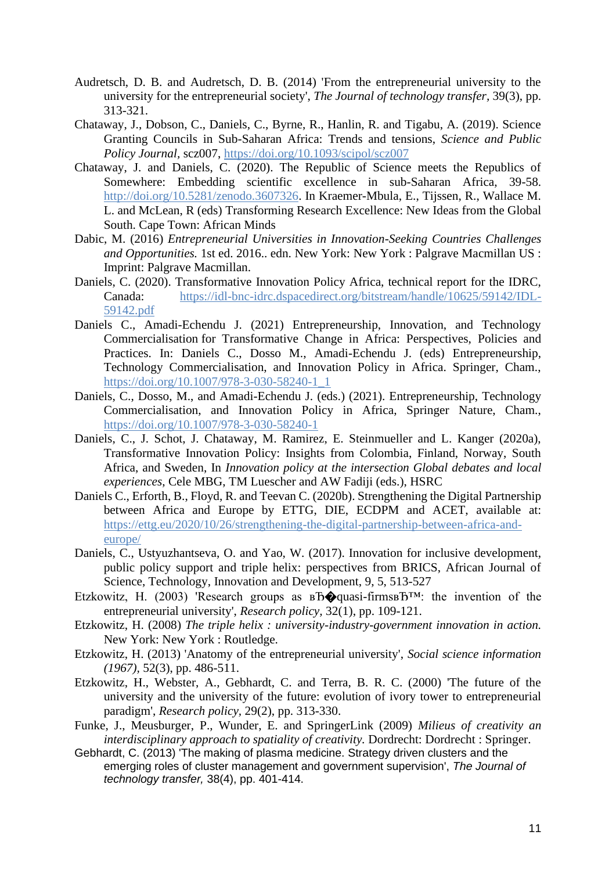- Audretsch, D. B. and Audretsch, D. B. (2014) 'From the entrepreneurial university to the university for the entrepreneurial society', *The Journal of technology transfer,* 39(3), pp. 313-321.
- Chataway, J., Dobson, C., Daniels, C., Byrne, R., Hanlin, R. and Tigabu, A. (2019). Science Granting Councils in Sub-Saharan Africa: Trends and tensions, *Science and Public Policy Journal,* scz007,<https://doi.org/10.1093/scipol/scz007>
- Chataway, J. and Daniels, C. (2020). The Republic of Science meets the Republics of Somewhere: Embedding scientific excellence in sub-Saharan Africa, 39-58. [http://doi.org/10.5281/zenodo.3607326.](http://doi.org/10.5281/zenodo.3607326) In Kraemer-Mbula, E., Tijssen, R., Wallace M. L. and McLean, R (eds) Transforming Research Excellence: New Ideas from the Global South. Cape Town: African Minds
- Dabic, M. (2016) *Entrepreneurial Universities in Innovation-Seeking Countries Challenges and Opportunities.* 1st ed. 2016.. edn. New York: New York : Palgrave Macmillan US : Imprint: Palgrave Macmillan.
- Daniels, C. (2020). Transformative Innovation Policy Africa, technical report for the IDRC, Canada: [https://idl-bnc-idrc.dspacedirect.org/bitstream/handle/10625/59142/IDL-](https://idl-bnc-idrc.dspacedirect.org/bitstream/handle/10625/59142/IDL-59142.pdf)[59142.pdf](https://idl-bnc-idrc.dspacedirect.org/bitstream/handle/10625/59142/IDL-59142.pdf)
- Daniels C., Amadi-Echendu J. (2021) Entrepreneurship, Innovation, and Technology Commercialisation for Transformative Change in Africa: Perspectives, Policies and Practices. In: Daniels C., Dosso M., Amadi-Echendu J. (eds) Entrepreneurship, Technology Commercialisation, and Innovation Policy in Africa. Springer, Cham., [https://doi.org/10.1007/978-3-030-58240-1\\_1](https://doi.org/10.1007/978-3-030-58240-1_1)
- Daniels, C., Dosso, M., and Amadi-Echendu J. (eds.) (2021). Entrepreneurship, Technology Commercialisation, and Innovation Policy in Africa, Springer Nature, Cham., <https://doi.org/10.1007/978-3-030-58240-1>
- Daniels, C., J. Schot, J. Chataway, M. Ramirez, E. Steinmueller and L. Kanger (2020a), Transformative Innovation Policy: Insights from Colombia, Finland, Norway, South Africa, and Sweden, In *Innovation policy at the intersection Global debates and local experiences*, Cele MBG, TM Luescher and AW Fadiji (eds.), HSRC
- Daniels C., Erforth, B., Floyd, R. and Teevan C. (2020b). Strengthening the Digital Partnership between Africa and Europe by ETTG, DIE, ECDPM and ACET, available at: [https://ettg.eu/2020/10/26/strengthening-the-digital-partnership-between-africa-and](https://ettg.eu/2020/10/26/strengthening-the-digital-partnership-between-africa-and-europe/)[europe/](https://ettg.eu/2020/10/26/strengthening-the-digital-partnership-between-africa-and-europe/)
- Daniels, C., Ustyuzhantseva, O. and Yao, W. (2017). Innovation for inclusive development, public policy support and triple helix: perspectives from BRICS, African Journal of Science, Technology, Innovation and Development, 9, 5, 513-527
- Etzkowitz, H. (2003) 'Research groups as  $B\widehat{\mathbf{D}}$  quasi-firms  $B^{TM}$ : the invention of the entrepreneurial university', *Research policy,* 32(1), pp. 109-121.
- Etzkowitz, H. (2008) *The triple helix : university-industry-government innovation in action.* New York: New York : Routledge.
- Etzkowitz, H. (2013) 'Anatomy of the entrepreneurial university', *Social science information (1967),* 52(3), pp. 486-511.
- Etzkowitz, H., Webster, A., Gebhardt, C. and Terra, B. R. C. (2000) 'The future of the university and the university of the future: evolution of ivory tower to entrepreneurial paradigm', *Research policy,* 29(2), pp. 313-330.
- Funke, J., Meusburger, P., Wunder, E. and SpringerLink (2009) *Milieus of creativity an interdisciplinary approach to spatiality of creativity.* Dordrecht: Dordrecht : Springer.
- Gebhardt, C. (2013) 'The making of plasma medicine. Strategy driven clusters and the emerging roles of cluster management and government supervision', *The Journal of technology transfer,* 38(4), pp. 401-414.